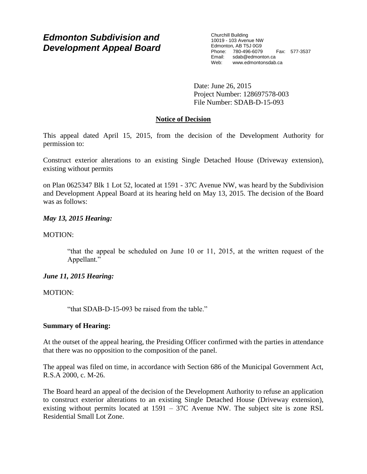# *Edmonton Subdivision and Development Appeal Board*

Churchill Building 10019 - 103 Avenue NW Edmonton, AB T5J 0G9 Phone: 780-496-6079 Fax: 577-3537 Email: sdab@edmonton.ca<br>Web: www.edmonton.ca Web: www.edmontonsdab.ca

Date: June 26, 2015 Project Number: 128697578-003 File Number: SDAB-D-15-093

## **Notice of Decision**

This appeal dated April 15, 2015, from the decision of the Development Authority for permission to:

Construct exterior alterations to an existing Single Detached House (Driveway extension), existing without permits

on Plan 0625347 Blk 1 Lot 52, located at 1591 - 37C Avenue NW, was heard by the Subdivision and Development Appeal Board at its hearing held on May 13, 2015. The decision of the Board was as follows:

## *May 13, 2015 Hearing:*

## MOTION:

"that the appeal be scheduled on June 10 or 11, 2015, at the written request of the Appellant."

## *June 11, 2015 Hearing:*

## MOTION:

"that SDAB-D-15-093 be raised from the table."

### **Summary of Hearing:**

At the outset of the appeal hearing, the Presiding Officer confirmed with the parties in attendance that there was no opposition to the composition of the panel.

The appeal was filed on time, in accordance with Section 686 of the Municipal Government Act, R.S.A 2000, c. M-26.

The Board heard an appeal of the decision of the Development Authority to refuse an application to construct exterior alterations to an existing Single Detached House (Driveway extension), existing without permits located at 1591 – 37C Avenue NW. The subject site is zone RSL Residential Small Lot Zone.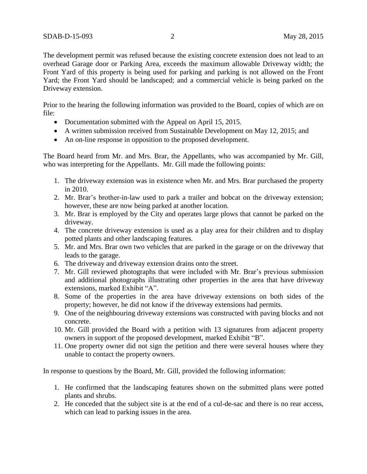The development permit was refused because the existing concrete extension does not lead to an overhead Garage door or Parking Area, exceeds the maximum allowable Driveway width; the Front Yard of this property is being used for parking and parking is not allowed on the Front Yard; the Front Yard should be landscaped; and a commercial vehicle is being parked on the Driveway extension.

Prior to the hearing the following information was provided to the Board, copies of which are on file:

- Documentation submitted with the Appeal on April 15, 2015.
- A written submission received from Sustainable Development on May 12, 2015; and
- An on-line response in opposition to the proposed development.

The Board heard from Mr. and Mrs. Brar, the Appellants, who was accompanied by Mr. Gill, who was interpreting for the Appellants. Mr. Gill made the following points:

- 1. The driveway extension was in existence when Mr. and Mrs. Brar purchased the property in 2010.
- 2. Mr. Brar's brother-in-law used to park a trailer and bobcat on the driveway extension; however, these are now being parked at another location.
- 3. Mr. Brar is employed by the City and operates large plows that cannot be parked on the driveway.
- 4. The concrete driveway extension is used as a play area for their children and to display potted plants and other landscaping features.
- 5. Mr. and Mrs. Brar own two vehicles that are parked in the garage or on the driveway that leads to the garage.
- 6. The driveway and driveway extension drains onto the street.
- 7. Mr. Gill reviewed photographs that were included with Mr. Brar's previous submission and additional photographs illustrating other properties in the area that have driveway extensions, marked Exhibit "A".
- 8. Some of the properties in the area have driveway extensions on both sides of the property; however, he did not know if the driveway extensions had permits.
- 9. One of the neighbouring driveway extensions was constructed with paving blocks and not concrete.
- 10. Mr. Gill provided the Board with a petition with 13 signatures from adjacent property owners in support of the proposed development, marked Exhibit "B".
- 11. One property owner did not sign the petition and there were several houses where they unable to contact the property owners.

In response to questions by the Board, Mr. Gill, provided the following information:

- 1. He confirmed that the landscaping features shown on the submitted plans were potted plants and shrubs.
- 2. He conceded that the subject site is at the end of a cul-de-sac and there is no rear access, which can lead to parking issues in the area.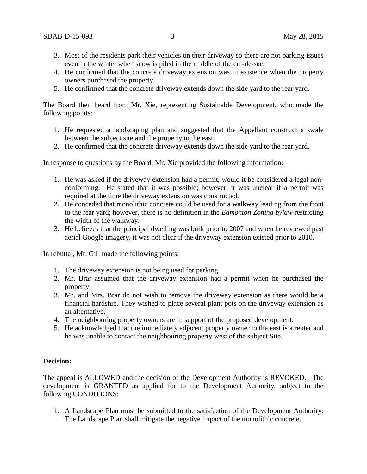- 3. Most of the residents park their vehicles on their driveway so there are not parking issues even in the winter when snow is piled in the middle of the cul-de-sac.
- 4. He confirmed that the concrete driveway extension was in existence when the property owners purchased the property.
- 5. He confirmed that the concrete driveway extends down the side yard to the rear yard.

The Board then heard from Mr. Xie, representing Sustainable Development, who made the following points:

- 1. He requested a landscaping plan and suggested that the Appellant construct a swale between the subject site and the property to the east.
- 2. He confirmed that the concrete driveway extends down the side yard to the rear yard.

In response to questions by the Board, Mr. Xie provided the following information:

- 1. He was asked if the driveway extension had a permit, would it be considered a legal nonconforming. He stated that it was possible; however, it was unclear if a permit was required at the time the driveway extension was constructed.
- 2. He conceded that monolithic concrete could be used for a walkway leading from the front to the rear yard; however, there is no definition in the *Edmonton Zoning bylaw* restricting the width of the walkway.
- 3. He believes that the principal dwelling was built prior to 2007 and when he reviewed past aerial Google imagery, it was not clear if the driveway extension existed prior to 2010.

In rebuttal, Mr. Gill made the following points:

- 1. The driveway extension is not being used for parking.
- 2. Mr. Brar assumed that the driveway extension had a permit when he purchased the property.
- 3. Mr. and Mrs. Brar do not wish to remove the driveway extension as there would be a financial hardship. They wished to place several plant pots on the driveway extension as an alternative.
- 4. The neighbouring property owners are in support of the proposed development.
- 5. He acknowledged that the immediately adjacent property owner to the east is a renter and he was unable to contact the neighbouring property west of the subject Site.

### **Decision:**

The appeal is ALLOWED and the decision of the Development Authority is REVOKED. The development is GRANTED as applied for to the Development Authority, subject to the following CONDITIONS:

1. A Landscape Plan must be submitted to the satisfaction of the Development Authority. The Landscape Plan shall mitigate the negative impact of the monolithic concrete.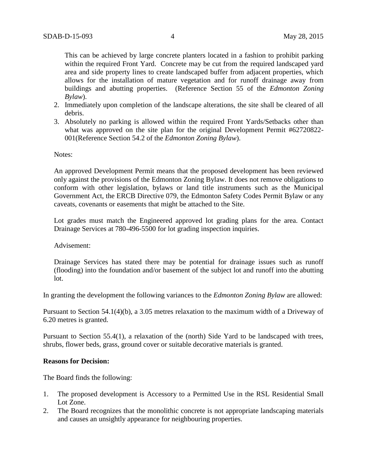This can be achieved by large concrete planters located in a fashion to prohibit parking within the required Front Yard. Concrete may be cut from the required landscaped yard area and side property lines to create landscaped buffer from adjacent properties, which allows for the installation of mature vegetation and for runoff drainage away from buildings and abutting properties. (Reference Section 55 of the *Edmonton Zoning Bylaw*).

- 2. Immediately upon completion of the landscape alterations, the site shall be cleared of all debris.
- 3. Absolutely no parking is allowed within the required Front Yards/Setbacks other than what was approved on the site plan for the original Development Permit #62720822-001(Reference Section 54.2 of the *Edmonton Zoning Bylaw*).

Notes:

An approved Development Permit means that the proposed development has been reviewed only against the provisions of the Edmonton Zoning Bylaw. It does not remove obligations to conform with other legislation, bylaws or land title instruments such as the Municipal Government Act, the ERCB Directive 079, the Edmonton Safety Codes Permit Bylaw or any caveats, covenants or easements that might be attached to the Site.

Lot grades must match the Engineered approved lot grading plans for the area. Contact Drainage Services at 780-496-5500 for lot grading inspection inquiries.

Advisement:

Drainage Services has stated there may be potential for drainage issues such as runoff (flooding) into the foundation and/or basement of the subject lot and runoff into the abutting lot.

In granting the development the following variances to the *Edmonton Zoning Bylaw* are allowed:

Pursuant to Section 54.1(4)(b), a 3.05 metres relaxation to the maximum width of a Driveway of 6.20 metres is granted.

Pursuant to Section 55.4(1), a relaxation of the (north) Side Yard to be landscaped with trees, shrubs, flower beds, grass, ground cover or suitable decorative materials is granted.

#### **Reasons for Decision:**

The Board finds the following:

- 1. The proposed development is Accessory to a Permitted Use in the RSL Residential Small Lot Zone.
- 2. The Board recognizes that the monolithic concrete is not appropriate landscaping materials and causes an unsightly appearance for neighbouring properties.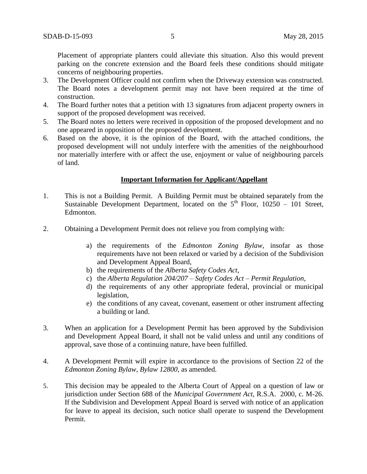Placement of appropriate planters could alleviate this situation. Also this would prevent parking on the concrete extension and the Board feels these conditions should mitigate concerns of neighbouring properties.

- 3. The Development Officer could not confirm when the Driveway extension was constructed. The Board notes a development permit may not have been required at the time of construction.
- 4. The Board further notes that a petition with 13 signatures from adjacent property owners in support of the proposed development was received.
- 5. The Board notes no letters were received in opposition of the proposed development and no one appeared in opposition of the proposed development.
- 6. Based on the above, it is the opinion of the Board, with the attached conditions, the proposed development will not unduly interfere with the amenities of the neighbourhood nor materially interfere with or affect the use, enjoyment or value of neighbouring parcels of land.

### **Important Information for Applicant/Appellant**

- 1. This is not a Building Permit. A Building Permit must be obtained separately from the Sustainable Development Department, located on the  $5<sup>th</sup>$  Floor, 10250 – 101 Street, Edmonton.
- 2. Obtaining a Development Permit does not relieve you from complying with:
	- a) the requirements of the *Edmonton Zoning Bylaw*, insofar as those requirements have not been relaxed or varied by a decision of the Subdivision and Development Appeal Board,
	- b) the requirements of the *Alberta Safety Codes Act*,
	- c) the *Alberta Regulation 204/207 – Safety Codes Act – Permit Regulation*,
	- d) the requirements of any other appropriate federal, provincial or municipal legislation,
	- e) the conditions of any caveat, covenant, easement or other instrument affecting a building or land.
- 3. When an application for a Development Permit has been approved by the Subdivision and Development Appeal Board, it shall not be valid unless and until any conditions of approval, save those of a continuing nature, have been fulfilled.
- 4. A Development Permit will expire in accordance to the provisions of Section 22 of the *Edmonton Zoning Bylaw, Bylaw 12800*, as amended.
- 5. This decision may be appealed to the Alberta Court of Appeal on a question of law or jurisdiction under Section 688 of the *Municipal Government Act*, R.S.A. 2000, c. M-26. If the Subdivision and Development Appeal Board is served with notice of an application for leave to appeal its decision, such notice shall operate to suspend the Development Permit.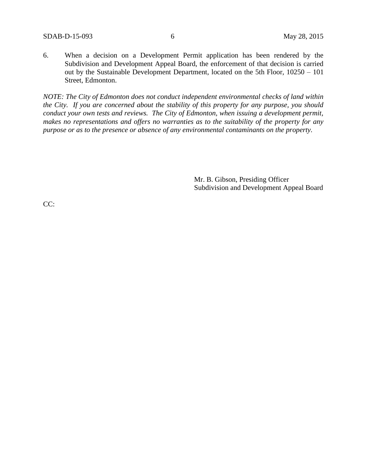6. When a decision on a Development Permit application has been rendered by the Subdivision and Development Appeal Board, the enforcement of that decision is carried out by the Sustainable Development Department, located on the 5th Floor, 10250 – 101 Street, Edmonton.

*NOTE: The City of Edmonton does not conduct independent environmental checks of land within the City. If you are concerned about the stability of this property for any purpose, you should conduct your own tests and reviews. The City of Edmonton, when issuing a development permit, makes no representations and offers no warranties as to the suitability of the property for any purpose or as to the presence or absence of any environmental contaminants on the property.*

> Mr. B. Gibson, Presiding Officer Subdivision and Development Appeal Board

CC: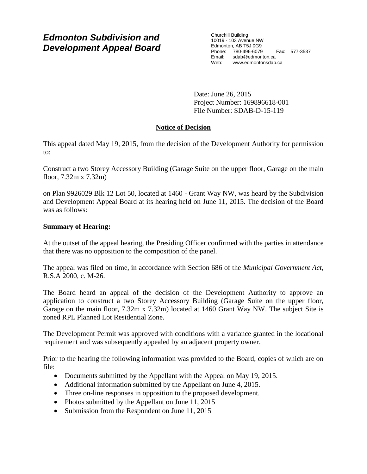# *Edmonton Subdivision and Development Appeal Board*

Churchill Building 10019 - 103 Avenue NW Edmonton, AB T5J 0G9 Phone: 780-496-6079 Fax: 577-3537 Email: sdab@edmonton.ca Web: www.edmontonsdab.ca

Date: June 26, 2015 Project Number: 169896618-001 File Number: SDAB-D-15-119

# **Notice of Decision**

This appeal dated May 19, 2015, from the decision of the Development Authority for permission to:

Construct a two Storey Accessory Building (Garage Suite on the upper floor, Garage on the main floor, 7.32m x 7.32m)

on Plan 9926029 Blk 12 Lot 50, located at 1460 - Grant Way NW, was heard by the Subdivision and Development Appeal Board at its hearing held on June 11, 2015. The decision of the Board was as follows:

## **Summary of Hearing:**

At the outset of the appeal hearing, the Presiding Officer confirmed with the parties in attendance that there was no opposition to the composition of the panel.

The appeal was filed on time, in accordance with Section 686 of the *Municipal Government Act*, R.S.A 2000, c. M-26.

The Board heard an appeal of the decision of the Development Authority to approve an application to construct a two Storey Accessory Building (Garage Suite on the upper floor, Garage on the main floor, 7.32m x 7.32m) located at 1460 Grant Way NW. The subject Site is zoned RPL Planned Lot Residential Zone.

The Development Permit was approved with conditions with a variance granted in the locational requirement and was subsequently appealed by an adjacent property owner.

Prior to the hearing the following information was provided to the Board, copies of which are on file:

- Documents submitted by the Appellant with the Appeal on May 19, 2015.
- Additional information submitted by the Appellant on June 4, 2015.
- Three on-line responses in opposition to the proposed development.
- Photos submitted by the Appellant on June 11, 2015
- Submission from the Respondent on June 11, 2015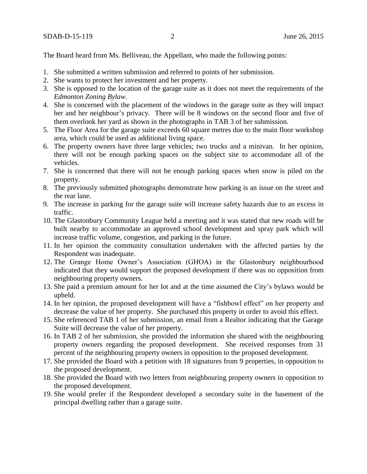The Board heard from Ms. Belliveau, the Appellant, who made the following points:

- 1. She submitted a written submission and referred to points of her submission.
- 2. She wants to protect her investment and her property.
- 3. She is opposed to the location of the garage suite as it does not meet the requirements of the *Edmonton Zoning Bylaw*.
- 4. She is concerned with the placement of the windows in the garage suite as they will impact her and her neighbour's privacy. There will be 8 windows on the second floor and five of them overlook her yard as shown in the photographs in TAB 3 of her submission.
- 5. The Floor Area for the garage suite exceeds 60 square metres due to the main floor workshop area, which could be used as additional living space.
- 6. The property owners have three large vehicles; two trucks and a minivan. In her opinion, there will not be enough parking spaces on the subject site to accommodate all of the vehicles.
- 7. She is concerned that there will not be enough parking spaces when snow is piled on the property.
- 8. The previously submitted photographs demonstrate how parking is an issue on the street and the rear lane.
- 9. The increase in parking for the garage suite will increase safety hazards due to an excess in traffic.
- 10. The Glastonbury Community League held a meeting and it was stated that new roads will be built nearby to accommodate an approved school development and spray park which will increase traffic volume, congestion, and parking in the future.
- 11. In her opinion the community consultation undertaken with the affected parties by the Respondent was inadequate.
- 12. The Grange Home Owner's Association (GHOA) in the Glastonbury neighbourhood indicated that they would support the proposed development if there was no opposition from neighbouring property owners.
- 13. She paid a premium amount for her lot and at the time assumed the City's bylaws would be upheld.
- 14. In her opinion, the proposed development will have a "fishbowl effect" on her property and decrease the value of her property. She purchased this property in order to avoid this effect.
- 15. She referenced TAB 1 of her submission, an email from a Realtor indicating that the Garage Suite will decrease the value of her property.
- 16. In TAB 2 of her submission, she provided the information she shared with the neighbouring property owners regarding the proposed development. She received responses from 31 percent of the neighbouring property owners in opposition to the proposed development.
- 17. She provided the Board with a petition with 18 signatures from 9 properties, in opposition to the proposed development.
- 18. She provided the Board with two letters from neighbouring property owners in opposition to the proposed development.
- 19. She would prefer if the Respondent developed a secondary suite in the basement of the principal dwelling rather than a garage suite.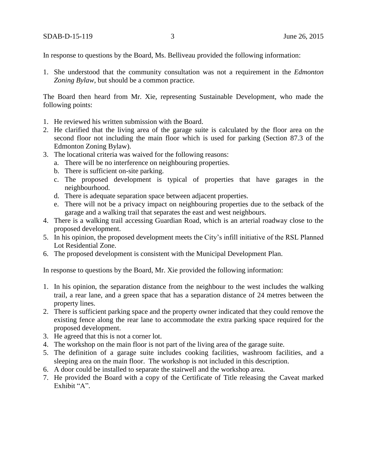In response to questions by the Board, Ms. Belliveau provided the following information:

1. She understood that the community consultation was not a requirement in the *Edmonton Zoning Bylaw*, but should be a common practice.

The Board then heard from Mr. Xie, representing Sustainable Development, who made the following points:

- 1. He reviewed his written submission with the Board.
- 2. He clarified that the living area of the garage suite is calculated by the floor area on the second floor not including the main floor which is used for parking (Section 87.3 of the Edmonton Zoning Bylaw).
- 3. The locational criteria was waived for the following reasons:
	- a. There will be no interference on neighbouring properties.
	- b. There is sufficient on-site parking.
	- c. The proposed development is typical of properties that have garages in the neighbourhood.
	- d. There is adequate separation space between adjacent properties.
	- e. There will not be a privacy impact on neighbouring properties due to the setback of the garage and a walking trail that separates the east and west neighbours.
- 4. There is a walking trail accessing Guardian Road, which is an arterial roadway close to the proposed development.
- 5. In his opinion, the proposed development meets the City's infill initiative of the RSL Planned Lot Residential Zone.
- 6. The proposed development is consistent with the Municipal Development Plan.

In response to questions by the Board, Mr. Xie provided the following information:

- 1. In his opinion, the separation distance from the neighbour to the west includes the walking trail, a rear lane, and a green space that has a separation distance of 24 metres between the property lines.
- 2. There is sufficient parking space and the property owner indicated that they could remove the existing fence along the rear lane to accommodate the extra parking space required for the proposed development.
- 3. He agreed that this is not a corner lot.
- 4. The workshop on the main floor is not part of the living area of the garage suite.
- 5. The definition of a garage suite includes cooking facilities, washroom facilities, and a sleeping area on the main floor. The workshop is not included in this description.
- 6. A door could be installed to separate the stairwell and the workshop area.
- 7. He provided the Board with a copy of the Certificate of Title releasing the Caveat marked Exhibit "A".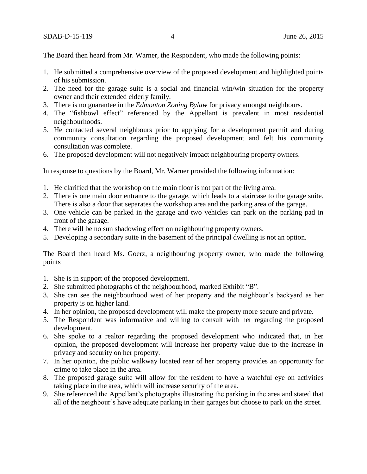The Board then heard from Mr. Warner, the Respondent, who made the following points:

- 1. He submitted a comprehensive overview of the proposed development and highlighted points of his submission.
- 2. The need for the garage suite is a social and financial win/win situation for the property owner and their extended elderly family.
- 3. There is no guarantee in the *Edmonton Zoning Bylaw* for privacy amongst neighbours.
- 4. The "fishbowl effect" referenced by the Appellant is prevalent in most residential neighbourhoods.
- 5. He contacted several neighbours prior to applying for a development permit and during community consultation regarding the proposed development and felt his community consultation was complete.
- 6. The proposed development will not negatively impact neighbouring property owners.

In response to questions by the Board, Mr. Warner provided the following information:

- 1. He clarified that the workshop on the main floor is not part of the living area.
- 2. There is one main door entrance to the garage, which leads to a staircase to the garage suite. There is also a door that separates the workshop area and the parking area of the garage.
- 3. One vehicle can be parked in the garage and two vehicles can park on the parking pad in front of the garage.
- 4. There will be no sun shadowing effect on neighbouring property owners.
- 5. Developing a secondary suite in the basement of the principal dwelling is not an option.

The Board then heard Ms. Goerz, a neighbouring property owner, who made the following points

- 1. She is in support of the proposed development.
- 2. She submitted photographs of the neighbourhood, marked Exhibit "B".
- 3. She can see the neighbourhood west of her property and the neighbour's backyard as her property is on higher land.
- 4. In her opinion, the proposed development will make the property more secure and private.
- 5. The Respondent was informative and willing to consult with her regarding the proposed development.
- 6. She spoke to a realtor regarding the proposed development who indicated that, in her opinion, the proposed development will increase her property value due to the increase in privacy and security on her property.
- 7. In her opinion, the public walkway located rear of her property provides an opportunity for crime to take place in the area.
- 8. The proposed garage suite will allow for the resident to have a watchful eye on activities taking place in the area, which will increase security of the area.
- 9. She referenced the Appellant's photographs illustrating the parking in the area and stated that all of the neighbour's have adequate parking in their garages but choose to park on the street.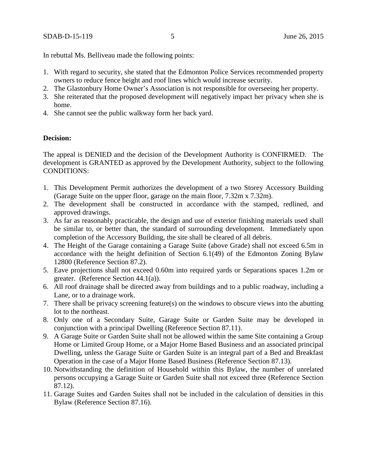In rebuttal Ms. Belliveau made the following points:

- 1. With regard to security, she stated that the Edmonton Police Services recommended property owners to reduce fence height and roof lines which would increase security.
- 2. The Glastonbury Home Owner's Association is not responsible for overseeing her property.
- 3. She reiterated that the proposed development will negatively impact her privacy when she is home.
- 4. She cannot see the public walkway form her back yard.

#### **Decision:**

The appeal is DENIED and the decision of the Development Authority is CONFIRMED. The development is GRANTED as approved by the Development Authority, subject to the following CONDITIONS:

- 1. This Development Permit authorizes the development of a two Storey Accessory Building (Garage Suite on the upper floor, garage on the main floor, 7.32m x 7.32m).
- 2. The development shall be constructed in accordance with the stamped, redlined, and approved drawings.
- 3. As far as reasonably practicable, the design and use of exterior finishing materials used shall be similar to, or better than, the standard of surrounding development. Immediately upon completion of the Accessory Building, the site shall be cleared of all debris.
- 4. The Height of the Garage containing a Garage Suite (above Grade) shall not exceed 6.5m in accordance with the height definition of Section 6.1(49) of the Edmonton Zoning Bylaw 12800 (Reference Section 87.2).
- 5. Eave projections shall not exceed 0.60m into required yards or Separations spaces 1.2m or greater. (Reference Section 44.1(a)).
- 6. All roof drainage shall be directed away from buildings and to a public roadway, including a Lane, or to a drainage work.
- 7. There shall be privacy screening feature(s) on the windows to obscure views into the abutting lot to the northeast.
- 8. Only one of a Secondary Suite, Garage Suite or Garden Suite may be developed in conjunction with a principal Dwelling (Reference Section 87.11).
- 9. A Garage Suite or Garden Suite shall not be allowed within the same Site containing a Group Home or Limited Group Home, or a Major Home Based Business and an associated principal Dwelling, unless the Garage Suite or Garden Suite is an integral part of a Bed and Breakfast Operation in the case of a Major Home Based Business (Reference Section 87.13).
- 10. Notwithstanding the definition of Household within this Bylaw, the number of unrelated persons occupying a Garage Suite or Garden Suite shall not exceed three (Reference Section 87.12).
- 11. Garage Suites and Garden Suites shall not be included in the calculation of densities in this Bylaw (Reference Section 87.16).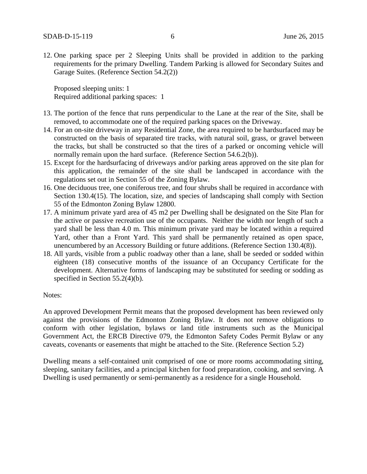12. One parking space per 2 Sleeping Units shall be provided in addition to the parking requirements for the primary Dwelling. Tandem Parking is allowed for Secondary Suites and Garage Suites. (Reference Section 54.2(2))

Proposed sleeping units: 1 Required additional parking spaces: 1

- 13. The portion of the fence that runs perpendicular to the Lane at the rear of the Site, shall be removed, to accommodate one of the required parking spaces on the Driveway.
- 14. For an on-site driveway in any Residential Zone, the area required to be hardsurfaced may be constructed on the basis of separated tire tracks, with natural soil, grass, or gravel between the tracks, but shall be constructed so that the tires of a parked or oncoming vehicle will normally remain upon the hard surface. (Reference Section 54.6.2(b)).
- 15. Except for the hardsurfacing of driveways and/or parking areas approved on the site plan for this application, the remainder of the site shall be landscaped in accordance with the regulations set out in Section 55 of the Zoning Bylaw.
- 16. One deciduous tree, one coniferous tree, and four shrubs shall be required in accordance with Section 130.4(15). The location, size, and species of landscaping shall comply with Section 55 of the Edmonton Zoning Bylaw 12800.
- 17. A minimum private yard area of 45 m2 per Dwelling shall be designated on the Site Plan for the active or passive recreation use of the occupants. Neither the width nor length of such a yard shall be less than 4.0 m. This minimum private yard may be located within a required Yard, other than a Front Yard. This yard shall be permanently retained as open space, unencumbered by an Accessory Building or future additions. (Reference Section 130.4(8)).
- 18. All yards, visible from a public roadway other than a lane, shall be seeded or sodded within eighteen (18) consecutive months of the issuance of an Occupancy Certificate for the development. Alternative forms of landscaping may be substituted for seeding or sodding as specified in Section 55.2(4)(b).

#### Notes:

An approved Development Permit means that the proposed development has been reviewed only against the provisions of the Edmonton Zoning Bylaw. It does not remove obligations to conform with other legislation, bylaws or land title instruments such as the Municipal Government Act, the ERCB Directive 079, the Edmonton Safety Codes Permit Bylaw or any caveats, covenants or easements that might be attached to the Site. (Reference Section 5.2)

Dwelling means a self-contained unit comprised of one or more rooms accommodating sitting, sleeping, sanitary facilities, and a principal kitchen for food preparation, cooking, and serving. A Dwelling is used permanently or semi-permanently as a residence for a single Household.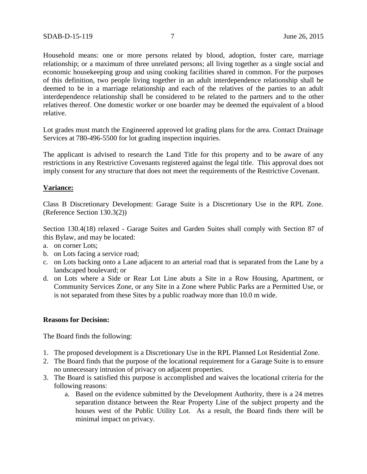Household means: one or more persons related by blood, adoption, foster care, marriage relationship; or a maximum of three unrelated persons; all living together as a single social and economic housekeeping group and using cooking facilities shared in common. For the purposes of this definition, two people living together in an adult interdependence relationship shall be deemed to be in a marriage relationship and each of the relatives of the parties to an adult interdependence relationship shall be considered to be related to the partners and to the other relatives thereof. One domestic worker or one boarder may be deemed the equivalent of a blood relative.

Lot grades must match the Engineered approved lot grading plans for the area. Contact Drainage Services at 780-496-5500 for lot grading inspection inquiries.

The applicant is advised to research the Land Title for this property and to be aware of any restrictions in any Restrictive Covenants registered against the legal title. This approval does not imply consent for any structure that does not meet the requirements of the Restrictive Covenant.

#### **Variance:**

Class B Discretionary Development: Garage Suite is a Discretionary Use in the RPL Zone. (Reference Section 130.3(2))

Section 130.4(18) relaxed - Garage Suites and Garden Suites shall comply with Section 87 of this Bylaw, and may be located:

- a. on corner Lots;
- b. on Lots facing a service road;
- c. on Lots backing onto a Lane adjacent to an arterial road that is separated from the Lane by a landscaped boulevard; or
- d. on Lots where a Side or Rear Lot Line abuts a Site in a Row Housing, Apartment, or Community Services Zone, or any Site in a Zone where Public Parks are a Permitted Use, or is not separated from these Sites by a public roadway more than 10.0 m wide.

#### **Reasons for Decision:**

The Board finds the following:

- 1. The proposed development is a Discretionary Use in the RPL Planned Lot Residential Zone.
- 2. The Board finds that the purpose of the locational requirement for a Garage Suite is to ensure no unnecessary intrusion of privacy on adjacent properties.
- 3. The Board is satisfied this purpose is accomplished and waives the locational criteria for the following reasons:
	- a. Based on the evidence submitted by the Development Authority, there is a 24 metres separation distance between the Rear Property Line of the subject property and the houses west of the Public Utility Lot. As a result, the Board finds there will be minimal impact on privacy.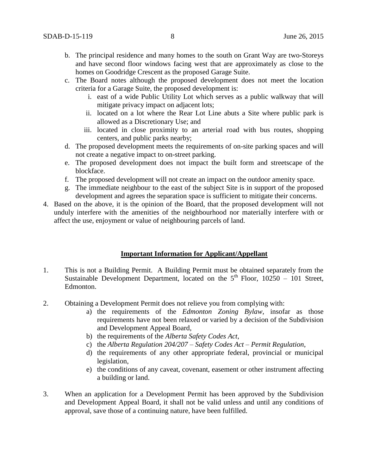- b. The principal residence and many homes to the south on Grant Way are two-Storeys and have second floor windows facing west that are approximately as close to the homes on Goodridge Crescent as the proposed Garage Suite.
- c. The Board notes although the proposed development does not meet the location criteria for a Garage Suite, the proposed development is:
	- i. east of a wide Public Utility Lot which serves as a public walkway that will mitigate privacy impact on adjacent lots;
	- ii. located on a lot where the Rear Lot Line abuts a Site where public park is allowed as a Discretionary Use; and
	- iii. located in close proximity to an arterial road with bus routes, shopping centers, and public parks nearby;
- d. The proposed development meets the requirements of on-site parking spaces and will not create a negative impact to on-street parking.
- e. The proposed development does not impact the built form and streetscape of the blockface.
- f. The proposed development will not create an impact on the outdoor amenity space.
- g. The immediate neighbour to the east of the subject Site is in support of the proposed development and agrees the separation space is sufficient to mitigate their concerns.
- 4. Based on the above, it is the opinion of the Board, that the proposed development will not unduly interfere with the amenities of the neighbourhood nor materially interfere with or affect the use, enjoyment or value of neighbouring parcels of land.

### **Important Information for Applicant/Appellant**

- 1. This is not a Building Permit. A Building Permit must be obtained separately from the Sustainable Development Department, located on the  $5<sup>th</sup>$  Floor, 10250 – 101 Street, Edmonton.
- 2. Obtaining a Development Permit does not relieve you from complying with:
	- a) the requirements of the *Edmonton Zoning Bylaw*, insofar as those requirements have not been relaxed or varied by a decision of the Subdivision and Development Appeal Board,
	- b) the requirements of the *Alberta Safety Codes Act*,
	- c) the *Alberta Regulation 204/207 – Safety Codes Act – Permit Regulation*,
	- d) the requirements of any other appropriate federal, provincial or municipal legislation,
	- e) the conditions of any caveat, covenant, easement or other instrument affecting a building or land.
- 3. When an application for a Development Permit has been approved by the Subdivision and Development Appeal Board, it shall not be valid unless and until any conditions of approval, save those of a continuing nature, have been fulfilled.